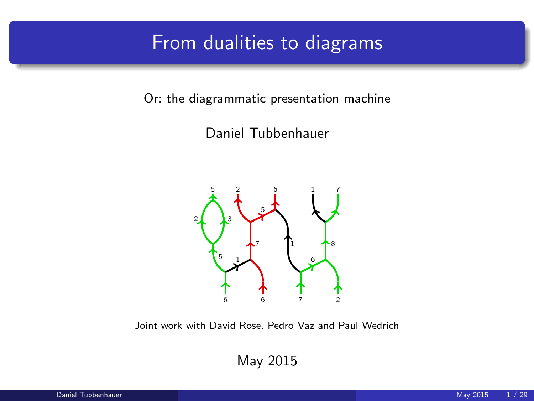### From dualities to diagrams

Or: the diagrammatic presentation machine

Daniel Tubbenhauer



Joint work with David Rose, Pedro Vaz and Paul Wedrich

May 2015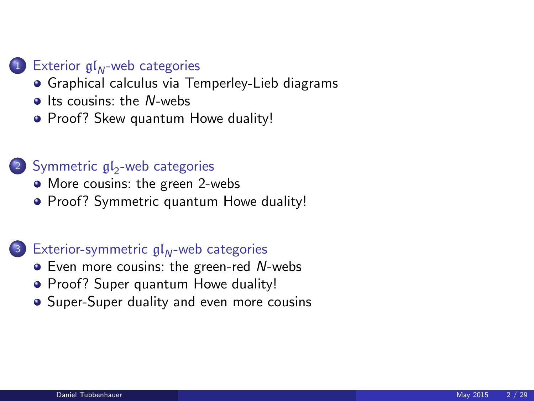#### 1 Exterior  $\mathfrak{gl}_N$ [-web categories](#page-2-0)

- [Graphical calculus via Temperley-Lieb diagrams](#page-2-0)
- $\bullet$  [Its cousins: the](#page-6-0) N-webs
- [Proof? Skew quantum Howe duality!](#page-9-0)

#### 2 Symmetric  $\mathfrak{gl}_2$ [-web categories](#page-12-0)

- [More cousins: the green 2-webs](#page-12-0)
- [Proof? Symmetric quantum Howe duality!](#page-15-0)

#### 3 [Exterior-symmetric](#page-18-0)  $\mathfrak{gl}_N$ -web categories

- [Even more cousins: the green-red](#page-18-0) N-webs
- [Proof? Super quantum Howe duality!](#page-21-0)
- [Super-Super duality and even more cousins](#page-24-0)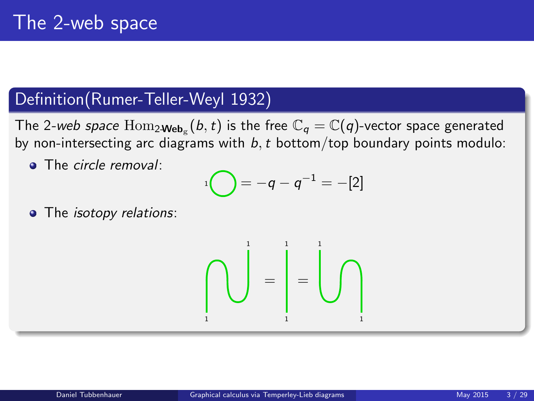#### Definition(Rumer-Teller-Weyl 1932)

The 2-*web space*  $\mathrm{Hom}_{2\textbf{-Web}_\mathbb{g}}(b,t)$  is the free  $\mathbb{C}_q = \mathbb{C}(q)$ -vector space generated by non-intersecting arc diagrams with  $b, t$  bottom/top boundary points modulo:

• The circle removal:

$$
{}^{1}\bigodot = -q - q^{-1} = -[2]
$$

• The *isotopy relations*:

$$
\text{diag} \left\{ \text{diag} \right\} = \text{diag} \left\{ \text{diag} \right\}
$$

<span id="page-2-0"></span>1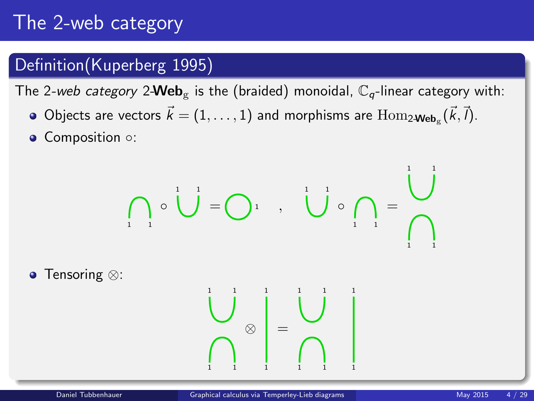# The 2-web category

### Definition(Kuperberg 1995)

The 2-web category 2-Web<sub>g</sub> is the (braided) monoidal,  $\mathbb{C}_q$ -linear category with:

- Objects are vectors  $\vec{k} = (1, \ldots, 1)$  and morphisms are  $\text{Hom}_{2\textbf{-Web}_g}(\vec{k}, \vec{l}).$
- Composition ○:

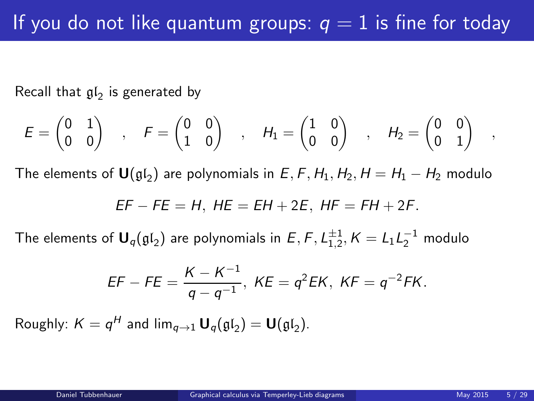Recall that  $\mathfrak{gl}_2$  is generated by

$$
\mathcal{E} = \begin{pmatrix} 0 & 1 \\ 0 & 0 \end{pmatrix} \quad , \quad \mathcal{F} = \begin{pmatrix} 0 & 0 \\ 1 & 0 \end{pmatrix} \quad , \quad \mathcal{H}_1 = \begin{pmatrix} 1 & 0 \\ 0 & 0 \end{pmatrix} \quad , \quad \mathcal{H}_2 = \begin{pmatrix} 0 & 0 \\ 0 & 1 \end{pmatrix} \quad ,
$$

The elements of  $\mathbf{U}(\mathfrak{gl}_2)$  are polynomials in  $E, F, H_1, H_2, H = H_1 - H_2$  modulo

$$
EF - FE = H, HE = EH + 2E, HF = FH + 2F.
$$

The elements of  $\mathbf{U}_q(\mathfrak{gl}_2)$  are polynomials in  $E, F, L_{1,2}^{\pm 1}, K = L_1 L_2^{-1}$  modulo

$$
EF - FE = \frac{K - K^{-1}}{q - q^{-1}}, \ KE = q^2 EK, \ KF = q^{-2} FK.
$$

Roughly:  $K = q^H$  and  $\lim_{q \to 1} \mathbf{U}_q(\mathfrak{gl}_2) = \mathbf{U}(\mathfrak{gl}_2)$ .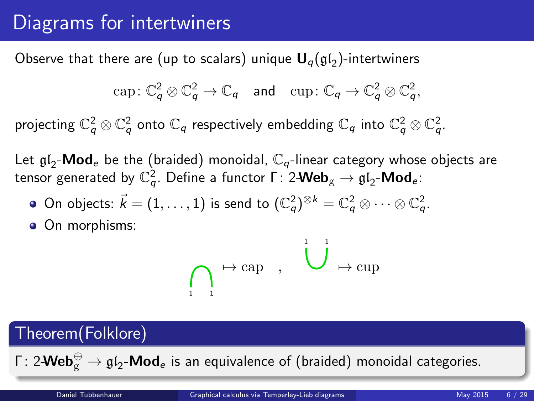# Diagrams for intertwiners

Observe that there are (up to scalars) unique  ${\bf U}_q(\mathfrak{gl}_2)$ -intertwiners

$$
\text{cap}: \mathbb{C}_q^2 \otimes \mathbb{C}_q^2 \to \mathbb{C}_q \quad \text{and} \quad \text{cup}: \mathbb{C}_q \to \mathbb{C}_q^2 \otimes \mathbb{C}_q^2,
$$

projecting  $\mathbb{C}_q^2\otimes\mathbb{C}_q^2$  onto  $\mathbb{C}_q$  respectively embedding  $\mathbb{C}_q$  into  $\mathbb{C}_q^2\otimes\mathbb{C}_q^2$ .

Let  $\mathfrak{gl}_2\text{-}\mathsf{Mod}_e$  be the (braided) monoidal,  $\mathbb{C}_q$ -linear category whose objects are tensor generated by  $\mathbb{C}^2_q.$  Define a functor Γ $:2$ -Web $_{\rm g}$   $\rightarrow$   $\mathfrak{gl}_2\text{-}\mathsf{Mod}_{e}$ :

- On objects:  $\vec{k}=(1,\ldots,1)$  is send to  $(\mathbb{C}_q^2)^{\otimes k}=\mathbb{C}_q^2\otimes\cdots\otimes\mathbb{C}_q^2.$
- On morphisms:

$$
\bigcap_{i=1}^{\infty} \mapsto \text{cap} \quad , \quad \bigcup_{i=1}^{i=1} \mapsto \text{cup}
$$

### Theorem(Folklore)

Γ: 2- $\mathsf{Web}_{\mathrm{g}}^{\oplus} \to \mathfrak{gl}_2\text{-}\mathsf{Mod}_e$  is an equivalence of (braided) monoidal categories.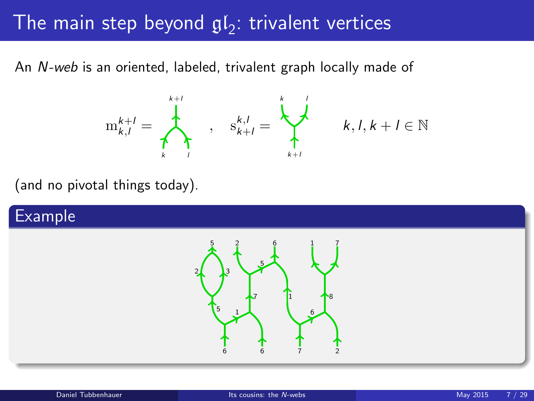# The main step beyond  ${\mathfrak {gl}}_2$ : trivalent vertices

An N-web is an oriented, labeled, trivalent graph locally made of



<span id="page-6-0"></span> $k, l, k+l \in \mathbb{N}$ 

(and no pivotal things today).

#### Example

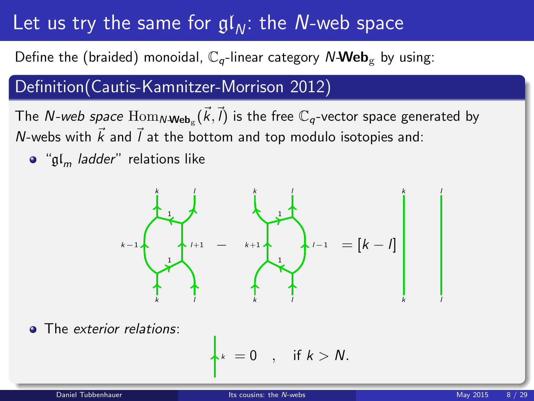# Let us try the same for  $\mathfrak{gl}_N$ : the N-web space

Define the (braided) monoidal,  $\mathbb{C}_q$ -linear category N-Web<sub>g</sub> by using:

#### Definition(Cautis-Kamnitzer-Morrison 2012)

The *N-web space*  $\operatorname{Hom}_{N\text{-}\textbf{Web}_\mathbb{g}}(\vec{k},\vec{l})$  is the free  $\mathbb{C}_q$ -vector space generated by N-webs with  $\vec{k}$  and  $\vec{l}$  at the bottom and top modulo isotopies and:

 $\bullet$  "gl<sub>m</sub> ladder" relations like



The exterior relations:

$$
k = 0 \quad , \quad \text{if } k > N.
$$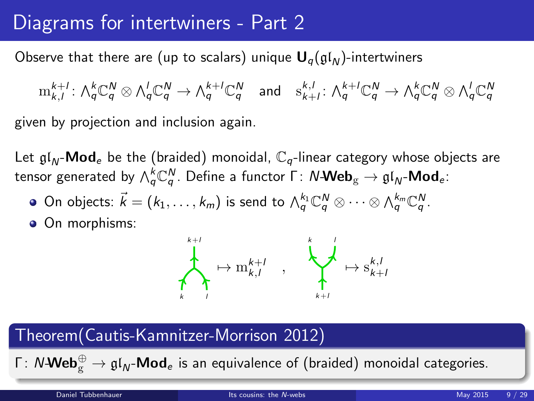# Diagrams for intertwiners - Part 2

Observe that there are (up to scalars) unique  $U_q(gI_N)$ -intertwiners

 $\mathrm{m}^{k+l}_{k,l} \colon \bigwedge_q^k \mathbb{C}^N_q \otimes \bigwedge_q^l \mathbb{C}^N_q \to \bigwedge_q^{k+l} \mathbb{C}^N_q \quad \text{and} \quad \mathrm{s}^{k,l}_{k+l} \colon \bigwedge_q^{k+l} \mathbb{C}^N_q \to \bigwedge_q^k \mathbb{C}^N_q \otimes \bigwedge_q^l \mathbb{C}^N_q$ given by projection and inclusion again.

Let  $\mathfrak{gl}_N$ -**Mod**e be the (braided) monoidal,  $\mathbb{C}_q$ -linear category whose objects are tensor generated by  $\wedge_Q^k\mathbb{C}_q^N.$  Define a functor  $\mathsf{\Gamma}\colon N\text{-}\mathsf{Web}_{\mathrm{g}} \to \mathfrak{gl}_N\text{-}\mathsf{Mod}_eS$ 

- On objects:  $\vec{k}=(k_1,\ldots,k_m)$  is send to  $\wedge_q^{k_1}\mathbb{C}_q^N\otimes\cdots\otimes\wedge_q^{k_m}\mathbb{C}_q^N.$
- On morphisms:



#### Theorem(Cautis-Kamnitzer-Morrison 2012)

Γ: N-**Web** $_{\rm g}^{\oplus} \to {\mathfrak{gl}}_{\sf N}$ -**Mod** $_{\rm e}$  is an equivalence of (braided) monoidal categories.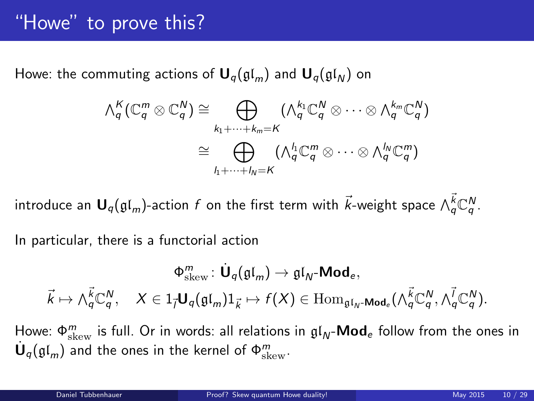# "Howe" to prove this?

Howe: the commuting actions of  $U_q(\mathfrak{gl}_m)$  and  $U_q(\mathfrak{gl}_N)$  on

$$
\begin{aligned}\n\wedge_q^K(\mathbb{C}_q^m \otimes \mathbb{C}_q^N) &\cong \bigoplus_{k_1 + \dots + k_m = K} (\wedge_q^{k_1} \mathbb{C}_q^N \otimes \dots \otimes \wedge_q^{k_m} \mathbb{C}_q^N) \\
&\cong \bigoplus_{l_1 + \dots + l_N = K} (\wedge_q^{l_1} \mathbb{C}_q^m \otimes \dots \otimes \wedge_q^{l_N} \mathbb{C}_q^m)\n\end{aligned}
$$

introduce an  $\bm{\mathsf{U}}_q(\mathfrak{gl}_m)$ -action  $f$  on the first term with  $\vec{k}$ -weight space  $\wedge^{\vec{k}}_q \mathbb{C}^N_q$ .

In particular, there is a functorial action

<span id="page-9-0"></span>
$$
\Phi_\text{skew}^m \colon \dot{\mathbf{U}}_q(\mathfrak{gl}_m) \to \mathfrak{gl}_N\text{-}\mathbf{Mod}_e, \\ \vec{k} \mapsto \wedge_q^{\vec{k}} \mathbb{C}_q^N, \quad X \in 1_{\vec{l}} \mathbf{U}_q(\mathfrak{gl}_m) 1_{\vec{k}} \mapsto f(X) \in \text{Hom}_{\mathfrak{gl}_N\text{-}\mathbf{Mod}_e}(\wedge_q^{\vec{k}} \mathbb{C}_q^N, \wedge_q^{\vec{l}} \mathbb{C}_q^N).
$$

Howe:  $\Phi_{\text{skew}}^m$  is full. Or in words: all relations in  $\mathfrak{gl}_N\text{-}\mathsf{Mod}_e$  follow from the ones in  $\dot{\mathsf{U}}_q(\mathfrak{gl}_m)$  and the ones in the kernel of  $\Phi^m_\mathrm{skew}$ .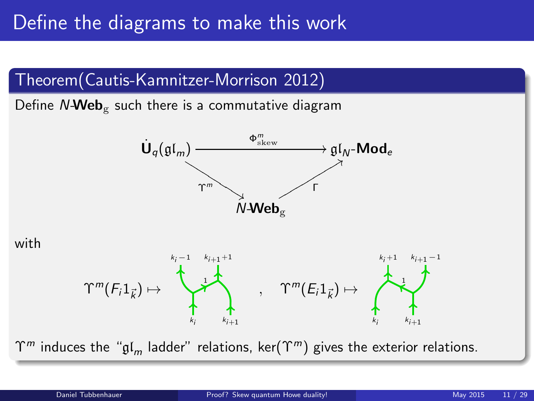# Define the diagrams to make this work

### Theorem(Cautis-Kamnitzer-Morrison 2012)

Define  $N\text{-}Web_{\mathcal{P}}$  such there is a commutative diagram



with



 $\Upsilon^m$  induces the " $\mathfrak{gl}_m$  ladder" relations, ker( $\Upsilon^m$ ) gives the exterior relations.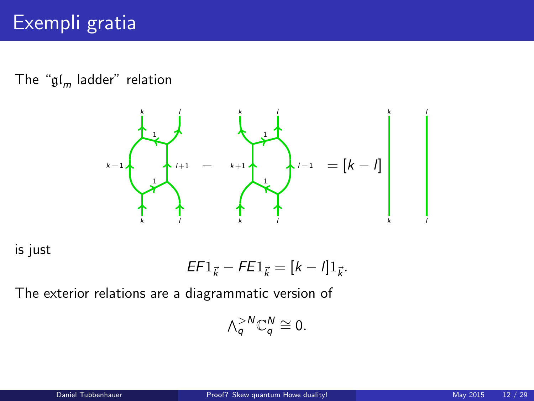The "gl<sub>m</sub> ladder" relation



is just

$$
EF1_{\vec{k}} - FE1_{\vec{k}} = [k - l]1_{\vec{k}}.
$$

The exterior relations are a diagrammatic version of

$$
\wedge_q^{>N}\mathbb{C}_q^N\cong 0.
$$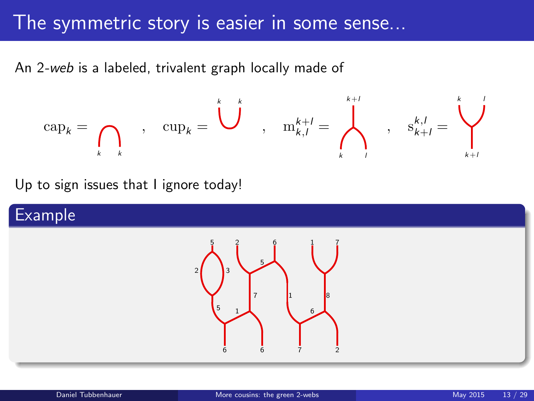# The symmetric story is easier in some sense...

An 2-web is a labeled, trivalent graph locally made of

$$
\mathrm{cap}_k = \bigcap_{k \quad k} \quad , \quad \mathrm{cup}_k = \bigcup_{k=1}^{k} \quad , \quad \mathrm{m}_{k,l}^{k+l} = \bigwedge_{k=1}^{k+l} \quad , \quad \mathrm{s}_{k+l}^{k,l} = \bigvee_{k+l}^{k}
$$

Up to sign issues that I ignore today!

#### Example

<span id="page-12-0"></span>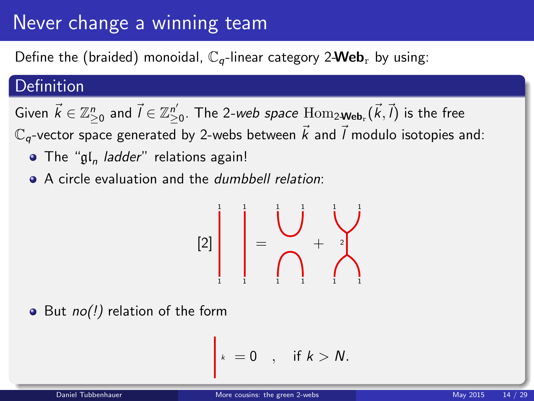# Never change a winning team

Define the (braided) monoidal,  $\mathbb{C}_q$ -linear category 2-Web<sub>r</sub> by using:

#### Definition

Given  $\vec k\in\mathbb{Z}_{\ge0}^n$  and  $\vec l\in\mathbb{Z}_{\ge0}^{n'}$ . The 2-*web space*  $\operatorname{Hom}_{2\textbf{-Web}_r}(\vec k,\vec l)$  is the free  $\mathbb{C}_q$ -vector space generated by 2-webs between  $\vec{k}$  and  $\vec{l}$  modulo isotopies and:

- The " $\mathfrak{gl}_n$  *ladder*" relations again!
- A circle evaluation and the *dumbbell relation*:

$$
[2]\begin{bmatrix} \vdots \\ \vdots \\ \vdots \end{bmatrix} = \begin{bmatrix} \vdots \\ \vdots \\ \vdots \\ \vdots \end{bmatrix} + \begin{bmatrix} \vdots \\ \vdots \\ \vdots \\ \vdots \\ \vdots \end{bmatrix}
$$

 $\bullet$  But no(!) relation of the form

$$
k = 0 \quad , \quad \text{if } k > N.
$$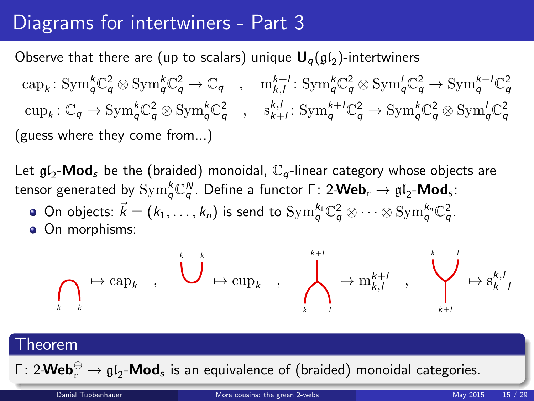# Diagrams for intertwiners - Part 3

Observe that there are (up to scalars) unique  ${\bf U}_q(\mathfrak{gl}_2)$ -intertwiners

 $\text{cap}_k: \text{Sym}_q^k \mathbb{C}_q^2 \otimes \text{Sym}_q^k \mathbb{C}_q^2 \to \mathbb{C}_q \quad , \quad \text{m}_{k,l}^{k+l}: \text{Sym}_q^k \mathbb{C}_q^2 \otimes \text{Sym}_q^l \mathbb{C}_q^2 \to \text{Sym}_q^{k+l} \mathbb{C}_q^2$  $\text{cup}_k: \mathbb{C}_q \to \text{Sym}_q^k \mathbb{C}_q^2 \otimes \text{Sym}_q^k \mathbb{C}_q^2 \quad , \quad \text{s}_{k+l}^{k,l}: \text{Sym}_q^{k+l} \mathbb{C}_q^2 \to \text{Sym}_q^k \mathbb{C}_q^2 \otimes \text{Sym}_q^l \mathbb{C}_q^2$ (guess where they come from...)

Let  $\mathfrak{gl}_2\text{-}\mathsf{Mod}_s$  be the (braided) monoidal,  $\mathbb{C}_q$ -linear category whose objects are tensor generated by  $\mathrm{Sym}^k_q \mathbb{C}^N_q.$  Define a functor Γ: 2-Web $_\mathrm{r}$   $\rightarrow$   $\mathfrak{gl}_2$ -Mod $_s$ :

- On objects:  $\vec{k}=(k_1,\ldots,k_n)$  is send to  $\mathrm{Sym}^{k_1}_{q}\mathbb{C}^2_{q}\otimes\cdots\otimes \mathrm{Sym}^{k_n}_{q}\mathbb{C}^2_{q}.$
- **On morphisms:**

$$
\bigcap_{k \atop k} \mapsto \mathrm{cap}_k \quad , \quad \bigcup^{k} \mapsto \mathrm{cup}_{k} \quad , \quad \bigwedge^{k+l}_{k} \mapsto \mathrm{m}_{k,l}^{k+l} \quad , \quad \bigvee^{k}_{k+l} \mapsto \mathrm{s}_{k+l}^{k,l}
$$

#### Theorem

Γ: 2- $\mathsf{Web}^{\oplus}_{\mathrm{r}} \to \mathfrak{gl}_2\text{-}\mathsf{Mod}_s$  is an equivalence of (braided) monoidal categories.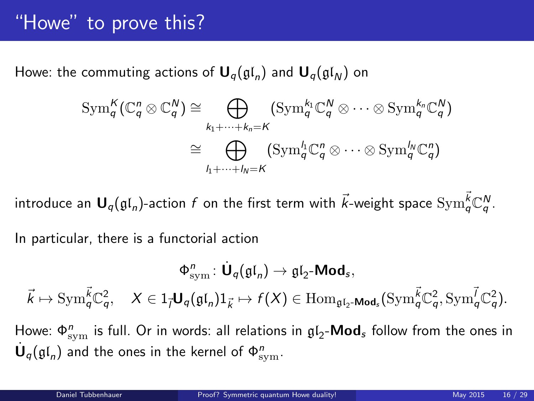# "Howe" to prove this?

Howe: the commuting actions of  $\mathbf{U}_q(\mathfrak{gl}_n)$  and  $\mathbf{U}_q(\mathfrak{gl}_N)$  on

$$
\mathrm{Sym}_{q}^{K}(\mathbb{C}_{q}^{n} \otimes \mathbb{C}_{q}^{N}) \cong \bigoplus_{k_{1}+\cdots+k_{n}=K} (\mathrm{Sym}_{q}^{k_{1}}\mathbb{C}_{q}^{N} \otimes \cdots \otimes \mathrm{Sym}_{q}^{k_{n}}\mathbb{C}_{q}^{N})
$$

$$
\cong \bigoplus_{l_{1}+\cdots+l_{N}=K} (\mathrm{Sym}_{q}^{l_{1}}\mathbb{C}_{q}^{n} \otimes \cdots \otimes \mathrm{Sym}_{q}^{l_{N}}\mathbb{C}_{q}^{n})
$$

introduce an  $\bm{\mathsf{U}}_q(\mathfrak{gl}_n)$ -action  $f$  on the first term with  $\vec{k}$ -weight space  $\mathrm{Sym}^{\vec{k}}_q \mathbb{C}^N_q.$ 

In particular, there is a functorial action

$$
\Phi^n_{\rm sym}\colon \dot{\mathbf U}_q(\mathfrak{gl}_n)\to \mathfrak{gl}_2\text{-}\textbf{Mod}_s,\\ \vec k\mapsto {\rm Sym}^{\vec k}_q{\mathbb C}^2_q,\quad X\in 1_{\vec l}\mathbf U_q(\mathfrak{gl}_n)1_{\vec k}\mapsto f(X)\in {\rm Hom}_{\mathfrak{gl}_2\textbf{-Mod}_s}({\rm Sym}^{\vec k}_q{\mathbb C}^2_q,{\rm Sym}^{\vec l}_q{\mathbb C}^2_q).
$$

<span id="page-15-0"></span>Howe:  $\Phi_{\rm sym}^n$  is full. Or in words: all relations in  ${\frak g}{\frak l}_2\text{-}{\sf Mod}_{\frak s}$  follow from the ones in  $\dot{\mathsf{U}}_q(\mathfrak{gl}_n)$  and the ones in the kernel of  $\Phi^{n}_{\text{sym}}.$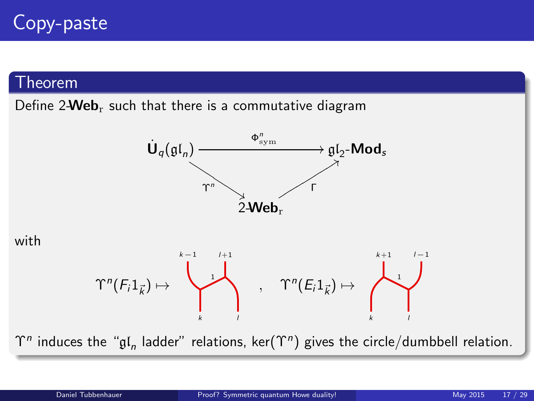#### Theorem

Define  $2$ **Web**<sub>r</sub> such that there is a commutative diagram



with



 $\Upsilon^n$  induces the " $\mathfrak{gl}_n$  ladder" relations, ker $(\Upsilon^n)$  gives the circle/dumbbell relation.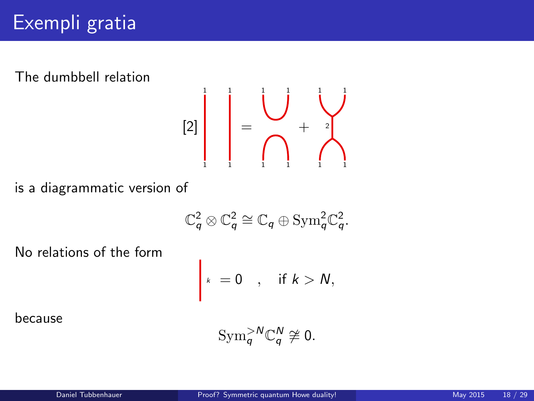The dumbbell relation

$$
[2] \left| \begin{array}{ccc} & \vdots & \vdots & \vdots \\ & \vdots & \vdots & \vdots \\ & \vdots & \vdots & \ddots \end{array} \right| = \left| \begin{array}{ccc} & \vdots & \vdots & \vdots \\ \bullet & \bullet & \vdots & \vdots \\ \bullet & \bullet & \bullet & \end{array} \right|
$$

is a diagrammatic version of

$$
\mathbb{C}^2_q\otimes\mathbb{C}^2_q\cong\mathbb{C}_q\oplus\mathrm{Sym}_q^2\mathbb{C}^2_q.
$$

No relations of the form

$$
\kappa = 0 \quad , \quad \text{if } k > N,
$$

because

$$
\mathrm{Sym}_{q}^{>N}\mathbb{C}_{q}^{N}\not\cong 0.
$$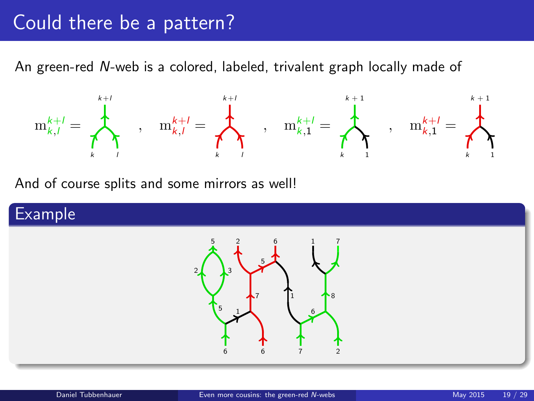# Could there be a pattern?

An green-red N-web is a colored, labeled, trivalent graph locally made of



And of course splits and some mirrors as well!

#### Example

<span id="page-18-0"></span>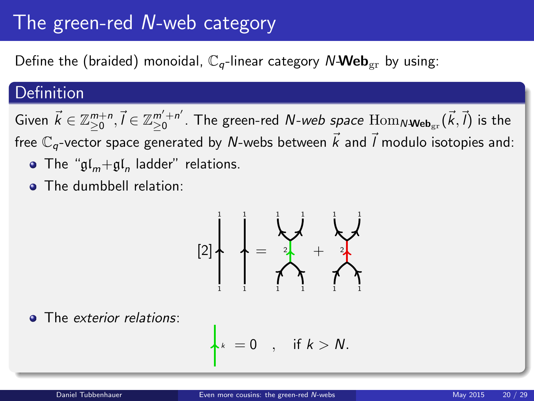### The green-red N-web category

Define the (braided) monoidal,  $\mathbb{C}_q$ -linear category N-Web<sub>gr</sub> by using:

### **Definition**

Given  $\vec{k} \in \mathbb{Z}_{\geq 0}^{m+n}, \vec{l} \in \mathbb{Z}_{\geq 0}^{m'+n'}$  $_{\geq0}^{m'+n'}$  . The green-red  $N$ -*web space*  $\mathrm{Hom}_{N\textbf{-Web}_{\mathrm{gr}}}(\vec{k},\vec{l})$  is the free  $\mathbb{C}_q$ -vector space generated by N-webs between  $\vec{k}$  and  $\vec{l}$  modulo isotopies and:

- The " $\mathfrak{gl}_m + \mathfrak{gl}_n$  ladder" relations.
- **a** The dumbbell relation:



• The exterior relations:

$$
\star = 0 \quad , \quad \text{if } k > N.
$$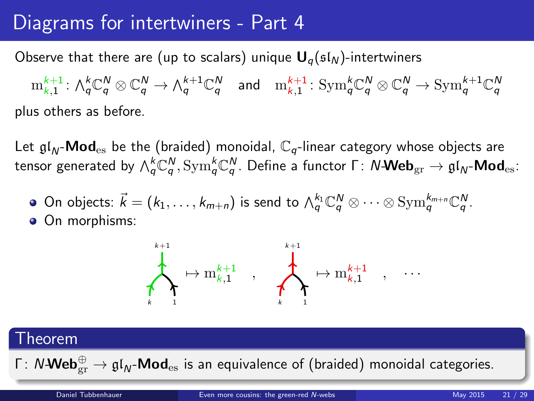# Diagrams for intertwiners - Part 4

Observe that there are (up to scalars) unique  $U_q(sI_N)$ -intertwiners

 $\mathrm{m}^{k+1}_{k,1}: \, \mathcal{N}_\mathsf{q}^k \mathbb{C}^N_q \otimes \mathbb{C}^N_\mathsf{q} \rightarrow \mathcal{N}_\mathsf{q}^{k+1} \mathbb{C}^N_q \quad \text{and} \quad \mathrm{m}^{k+1}_{k,1}: \, \mathrm{Sym}^k_\mathsf{q} \mathbb{C}^N_q \otimes \mathbb{C}^N_\mathsf{q} \rightarrow \mathrm{Sym}^{k+1}_\mathsf{q} \mathbb{C}^N_q$ plus others as before.

Let  $\mathfrak{gl}_N$ -Mod<sub>es</sub> be the (braided) monoidal,  $\mathbb{C}_q$ -linear category whose objects are tensor generated by  $\wedge_q^k$ C $_q^N$ ,  $\mathrm{Sym}_q^k$ C $_q^N$ . Define a functor Γ:  $N$ -Web $_{\mathrm{gr}}\to \mathfrak{gl}_N$ -Mo $\mathbf{d}_{\mathrm{es}}$ :

- On objects:  $\vec{k}=(k_1,\ldots,k_{m+n})$  is send to  $\wedge_q^{k_1}\mathbb{C}_q^N\otimes\cdots\otimes \mathrm{Sym}^{k_{m+n}}_q\mathbb{C}_q^N.$
- On morphisms:



#### Theorem

Γ:  $N$ - $\mathsf{Web}_{\mathrm{gr}}^{\oplus} \to \mathfrak{gl}_N\text{-}\mathsf{Mod}_{\mathrm{es}}$  is an equivalence of (braided) monoidal categories.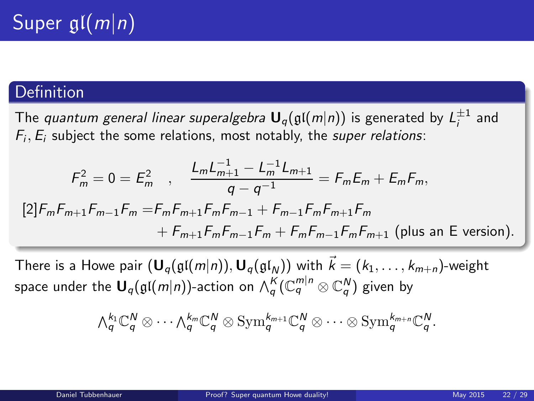#### **Definition**

The *quantum general linear superalgebra*  ${\sf U}_q(\mathfrak{gl}(m|n))$  is generated by  ${\sf L}_i^{\pm 1}$  and  $F_i, E_i$  subject the some relations, most notably, the super relations:

$$
F_m^2 = 0 = E_m^2 \quad , \quad \frac{L_m L_{m+1}^{-1} - L_m^{-1} L_{m+1}}{q - q^{-1}} = F_m E_m + E_m F_m,
$$
  
\n[2]  $F_m F_{m+1} F_{m-1} F_m = F_m F_{m+1} F_m F_{m-1} + F_{m-1} F_m F_{m+1} F_m$   
\n $+ F_{m+1} F_m F_{m-1} F_m + F_m F_{m-1} F_m F_{m+1}$  (plus an E version).

There is a Howe pair  $(\mathbf{U}_q(\mathfrak{gl}(m|n)), \mathbf{U}_q(\mathfrak{gl}_N))$  with  $\vec{k} = (k_1, \ldots, k_{m+n})$ -weight space under the  ${\mathsf U}_q(\mathfrak{gl}(m|n))$ -action on  $\wedge_q^K(\mathbb{C}_q^{m|n} \otimes \mathbb{C}_q^N)$  given by

<span id="page-21-0"></span>
$$
\textstyle \bigwedge_q^{k_1}\mathbb{C}_q^N\otimes \cdots \bigwedge_q^{k_m}\mathbb{C}_q^N\otimes \mathrm{Sym}_q^{k_{m+1}}\mathbb{C}_q^N\otimes \cdots \otimes \mathrm{Sym}_q^{k_{m+n}}\mathbb{C}_q^N.
$$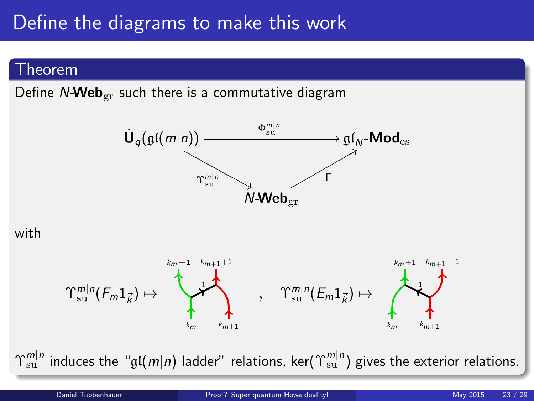# Define the diagrams to make this work

#### Theorem

Define  $N\text{-}Web_{gr}$  such there is a commutative diagram



#### with



 $\Upsilon^{m|n}_{\rm su}$  induces the " $\frak{gl}(m|n)$  ladder" relations, ker $(\Upsilon^{m|n}_{\rm su})$  gives the exterior relations.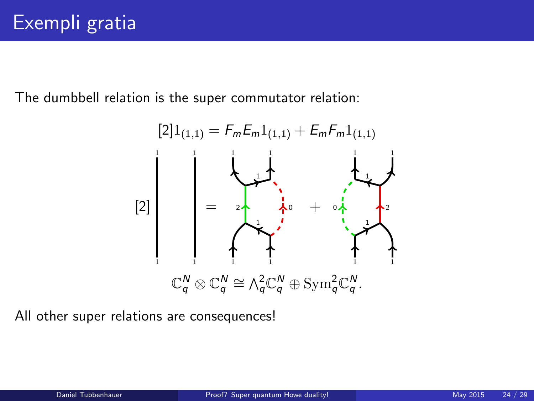The dumbbell relation is the super commutator relation:



All other super relations are consequences!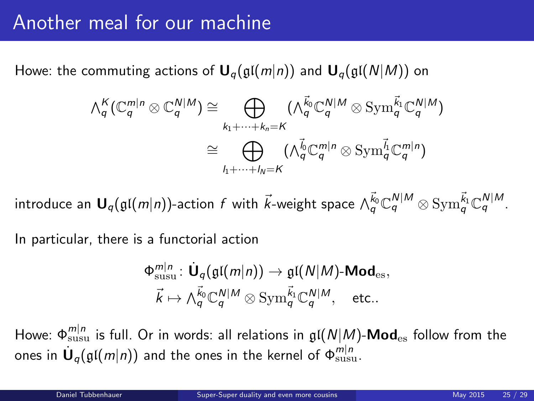# Another meal for our machine

Howe: the commuting actions of  $U_q(gI(m|n))$  and  $U_q(gI(N|M))$  on

$$
\begin{aligned} \wedge_q^K(\mathbb{C}_q^{m|n} \otimes \mathbb{C}_q^{N|M}) &\cong \bigoplus_{k_1 + \dots + k_n = K} (\wedge_q^{\vec{k}_0} \mathbb{C}_q^{N|M} \otimes \text{Sym}_q^{\vec{k}_1} \mathbb{C}_q^{N|M}) \\ &\cong \bigoplus_{l_1 + \dots + l_N = K} (\wedge_q^{\vec{k}_0} \mathbb{C}_q^{m|n} \otimes \text{Sym}_q^{\vec{l}_1} \mathbb{C}_q^{m|n}) \end{aligned}
$$

introduce an  $\mathbf{U}_q(\mathfrak{gl}(m|n))$ -action  $f$  with  $\vec{k}$ -weight space  $\wedge_q^{\vec{k}_0}\mathbb{C}_q^{N|M}\otimes\mathrm{Sym}_q^{\vec{k}_1}\mathbb{C}_q^{N|M}.$ 

In particular, there is a functorial action

<span id="page-24-0"></span>
$$
\begin{aligned}\n\Phi_{\text{susu}}^{m|n} : \dot{\mathbf{U}}_q(\mathfrak{gl}(m|n)) \to \mathfrak{gl}(N|M)\text{-}\mathbf{Mod}_{\text{es}},\\ \n\vec{k} \mapsto \wedge_q^{\vec{k}_0} \mathbb{C}_q^{N|M} \otimes \text{Sym}_q^{\vec{k}_1} \mathbb{C}_q^{N|M}, \quad \text{etc.}.\n\end{aligned}
$$

Howe:  $\Phi_{\rm susu}^{m|n}$  is full. Or in words: all relations in  $\mathfrak{gl}(N|M)$ - $\mathsf{Mod}_{\mathrm{es}}$  follow from the ones in  $\dot{\mathbf U}_q(\mathfrak{gl}(m|n))$  and the ones in the kernel of  $\Phi_{\rm susu}^{m|n}$ .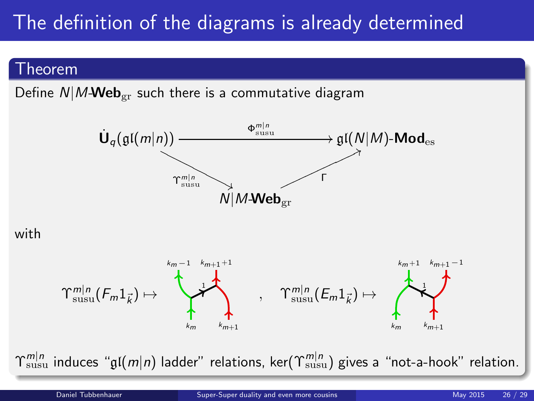# The definition of the diagrams is already determined

#### Theorem

Define  $N/M$ -Web<sub>er</sub> such there is a commutative diagram

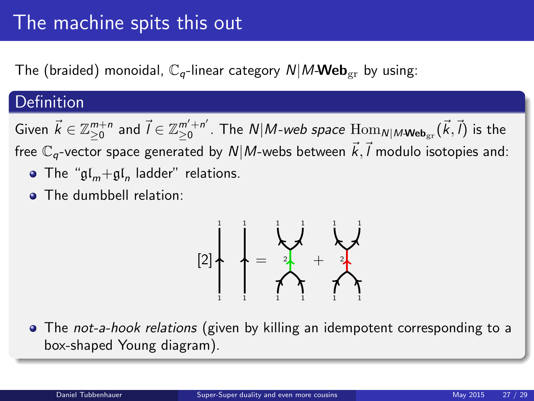# The machine spits this out

The (braided) monoidal,  $\mathbb{C}_q$ -linear category  $N/M$ -Web<sub>er</sub> by using:

#### **Definition**

Given  $\vec{k} \in \mathbb{Z}_{\geq 0}^{m+n}$  and  $\vec{l} \in \mathbb{Z}_{\geq 0}^{m'+n'}$  $_{\geq0}^{m'+n'}$ . The  $\mathcal{N}|M$ -web space  $\mathrm{Hom}_{\mathcal{N}|M}$ veb $_{\mathrm{gr}}(\vec{k},\vec{l})$  is the free  $\mathbb{C}_q$ -vector space generated by  $\mathcal{N}|M$ -webs between  $\vec{k},\vec{l}$  modulo isotopies and:

- The " $\mathfrak{gl}_m + \mathfrak{gl}_n$  ladder" relations.
- **•** The dumbbell relation:



• The not-a-hook relations (given by killing an idempotent corresponding to a box-shaped Young diagram).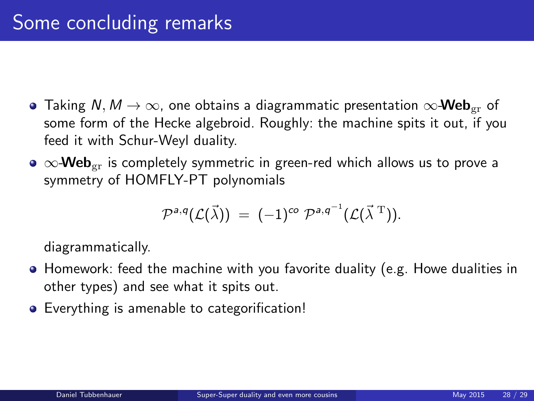- Taking  $N, M \rightarrow \infty$ , one obtains a diagrammatic presentation  $\infty$ -Web<sub>er</sub> of some form of the Hecke algebroid. Roughly: the machine spits it out, if you feed it with Schur-Weyl duality.
- $\bullet \infty$ -Web<sub>gr</sub> is completely symmetric in green-red which allows us to prove a symmetry of HOMFLY-PT polynomials

$$
\mathcal{P}^{a,q}(\mathcal{L}(\vec{\lambda})) = (-1)^{co} \mathcal{P}^{a,q^{-1}}(\mathcal{L}(\vec{\lambda}^{\mathrm{T}})).
$$

diagrammatically.

- Homework: feed the machine with you favorite duality (e.g. Howe dualities in other types) and see what it spits out.
- Everything is amenable to categorification!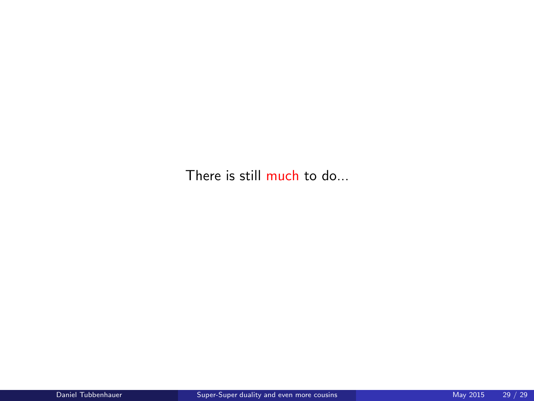There is still much to do...